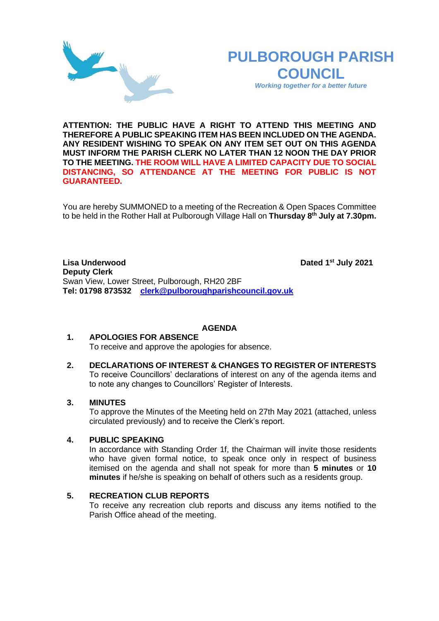# **PULBOROUGH PARISH COUNCIL**

*Working together for a better future*

**ATTENTION: THE PUBLIC HAVE A RIGHT TO ATTEND THIS MEETING AND THEREFORE A PUBLIC SPEAKING ITEM HAS BEEN INCLUDED ON THE AGENDA. ANY RESIDENT WISHING TO SPEAK ON ANY ITEM SET OUT ON THIS AGENDA MUST INFORM THE PARISH CLERK NO LATER THAN 12 NOON THE DAY PRIOR TO THE MEETING. THE ROOM WILL HAVE A LIMITED CAPACITY DUE TO SOCIAL DISTANCING, SO ATTENDANCE AT THE MEETING FOR PUBLIC IS NOT GUARANTEED.**

You are hereby SUMMONED to a meeting of the Recreation & Open Spaces Committee to be held in the Rother Hall at Pulborough Village Hall on **Thursday 8 th July at 7.30pm.** 

**Lisa Underwood st July 2021 Deputy Clerk**  Swan View, Lower Street, Pulborough, RH20 2BF **Tel: 01798 873532 [clerk@pulboroughparishcouncil.gov.uk](mailto:clerk@pulboroughparishcouncil.gov.uk)**

### **AGENDA**

#### **1. APOLOGIES FOR ABSENCE** To receive and approve the apologies for absence.

**2. DECLARATIONS OF INTEREST & CHANGES TO REGISTER OF INTERESTS** To receive Councillors' declarations of interest on any of the agenda items and to note any changes to Councillors' Register of Interests.

### **3. MINUTES**

To approve the Minutes of the Meeting held on 27th May 2021 (attached, unless circulated previously) and to receive the Clerk's report.

### **4. PUBLIC SPEAKING**

In accordance with Standing Order 1f, the Chairman will invite those residents who have given formal notice, to speak once only in respect of business itemised on the agenda and shall not speak for more than **5 minutes** or **10 minutes** if he/she is speaking on behalf of others such as a residents group.

# **5. RECREATION CLUB REPORTS**

To receive any recreation club reports and discuss any items notified to the Parish Office ahead of the meeting.